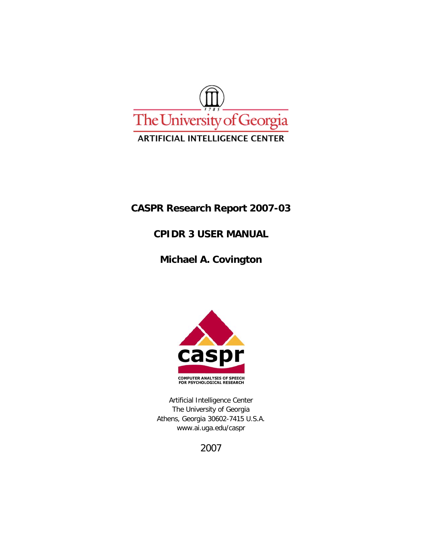

## **CASPR Research Report 2007-03**

## **CPIDR 3 USER MANUAL**

# **Michael A. Covington**



Artificial Intelligence Center The University of Georgia Athens, Georgia 30602-7415 U.S.A. www.ai.uga.edu/caspr

2007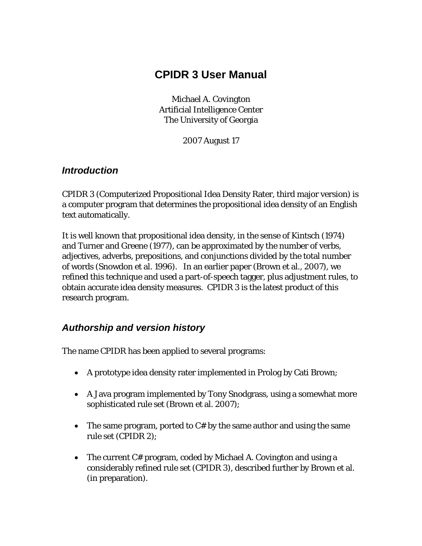# **CPIDR 3 User Manual**

Michael A. Covington Artificial Intelligence Center The University of Georgia

2007 August 17

#### *Introduction*

CPIDR 3 (Computerized Propositional Idea Density Rater, third major version) is a computer program that determines the propositional idea density of an English text automatically.

It is well known that propositional idea density, in the sense of Kintsch (1974) and Turner and Greene (1977), can be approximated by the number of verbs, adjectives, adverbs, prepositions, and conjunctions divided by the total number of words (Snowdon et al. 1996). In an earlier paper (Brown et al., 2007), we refined this technique and used a part-of-speech tagger, plus adjustment rules, to obtain accurate idea density measures. CPIDR 3 is the latest product of this research program.

## *Authorship and version history*

The name CPIDR has been applied to several programs:

- A prototype idea density rater implemented in Prolog by Cati Brown;
- A Java program implemented by Tony Snodgrass, using a somewhat more sophisticated rule set (Brown et al. 2007);
- The same program, ported to C# by the same author and using the same rule set (CPIDR 2);
- The current C# program, coded by Michael A. Covington and using a considerably refined rule set (CPIDR 3), described further by Brown et al. (in preparation).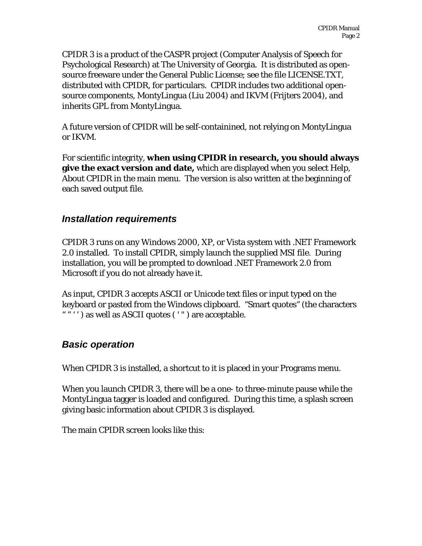CPIDR 3 is a product of the CASPR project (Computer Analysis of Speech for Psychological Research) at The University of Georgia. It is distributed as opensource freeware under the General Public License; see the file LICENSE.TXT, distributed with CPIDR, for particulars. CPIDR includes two additional opensource components, MontyLingua (Liu 2004) and IKVM (Frijters 2004), and inherits GPL from MontyLingua.

A future version of CPIDR will be self-containined, not relying on MontyLingua or IKVM.

For scientific integrity, **when using CPIDR in research, you should always give the exact version and date,** which are displayed when you select Help, About CPIDR in the main menu. The version is also written at the beginning of each saved output file.

## *Installation requirements*

CPIDR 3 runs on any Windows 2000, XP, or Vista system with .NET Framework 2.0 installed. To install CPIDR, simply launch the supplied MSI file. During installation, you will be prompted to download .NET Framework 2.0 from Microsoft if you do not already have it.

As input, CPIDR 3 accepts ASCII or Unicode text files or input typed on the keyboard or pasted from the Windows clipboard. "Smart quotes" (the characters """) as well as ASCII quotes ('") are acceptable.

## *Basic operation*

When CPIDR 3 is installed, a shortcut to it is placed in your Programs menu.

When you launch CPIDR 3, there will be a one- to three-minute pause while the MontyLingua tagger is loaded and configured. During this time, a splash screen giving basic information about CPIDR 3 is displayed.

The main CPIDR screen looks like this: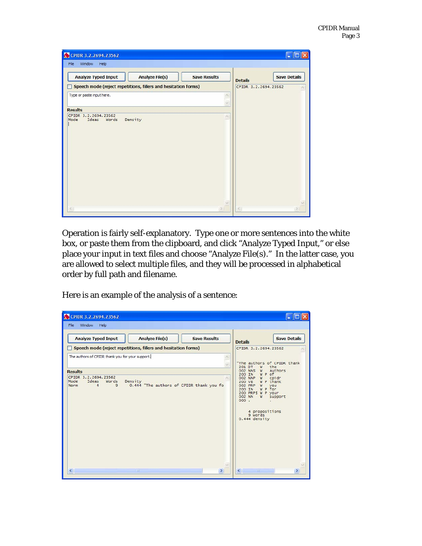| CPIDR 3.2.2694.23562                                           |                     |                      |                     |
|----------------------------------------------------------------|---------------------|----------------------|---------------------|
| Window<br>Help<br>File                                         |                     |                      |                     |
| <b>Analyze File(s)</b><br><b>Analyze Typed Input</b>           | <b>Save Results</b> | <b>Details</b>       | <b>Save Details</b> |
| Speech mode (reject repetitions, fillers and hesitation forms) |                     | CPIDR 3.2.2694.23562 |                     |
| Type or paste input here.                                      |                     |                      |                     |
|                                                                |                     |                      |                     |
| <b>Results</b><br>CPIDR 3.2.2694.23562                         |                     |                      |                     |
| Density<br>Mode<br>Ideas<br>Words                              |                     |                      |                     |
| ₹                                                              | $\sim$              |                      |                     |
|                                                                |                     |                      |                     |

Operation is fairly self-explanatory. Type one or more sentences into the white box, or paste them from the clipboard, and click "Analyze Typed Input," or else place your input in text files and choose "Analyze File(s)." In the latter case, you are allowed to select multiple files, and they will be processed in alphabetical order by full path and filename.

Here is an example of the analysis of a sentence:

| CPIDR 3.2.2694.23562                                                                                                                 |                                                                                                                                                                                                                                  |
|--------------------------------------------------------------------------------------------------------------------------------------|----------------------------------------------------------------------------------------------------------------------------------------------------------------------------------------------------------------------------------|
| Window<br>File<br>Help                                                                                                               |                                                                                                                                                                                                                                  |
| <b>Analyze Typed Input</b><br><b>Analyze File(s)</b><br><b>Save Results</b>                                                          | <b>Save Details</b><br><b>Details</b>                                                                                                                                                                                            |
| Speech mode (reject repetitions, fillers and hesitation forms)                                                                       | CPIDR 3.2.2694.23562                                                                                                                                                                                                             |
| The authors of CPIDR thank you for your support.<br><b>Results</b>                                                                   | "The authors of CPIDR thank<br>201 DT<br>the<br>W<br>authors<br>002 NNS<br>W                                                                                                                                                     |
| CPIDR 3.2.2694.23562<br>Mode<br>Ideas<br>Words<br>Density<br>0.444 "The authors of CPIDR thank you fo<br>Norm<br>$\overline{4}$<br>9 | W P of<br>200 IN<br>cpidr<br>002 NNP<br>W<br>W P thank<br>200 VB<br>002 PRP<br>you<br>W<br>W P for<br>200 IN<br>200 PRPS W P your<br>002 NN<br>support<br>W<br>000.<br>$\bullet$<br>4 propositions<br>9 words<br>$0.444$ density |
| $\leq$<br><b>HIL</b><br>$\rightarrow$                                                                                                | $\left\langle \cdot \right\rangle$<br>$\mathbf{m}$<br>×.                                                                                                                                                                         |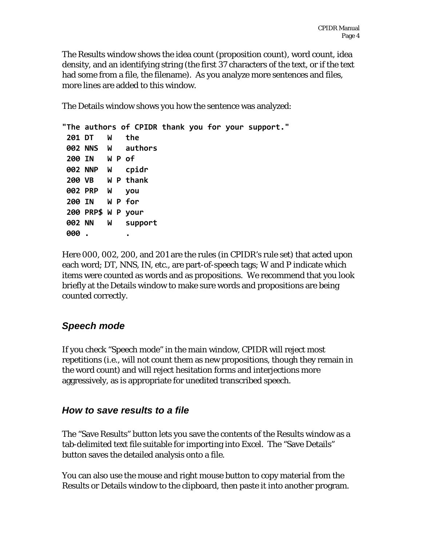The Results window shows the idea count (proposition count), word count, idea density, and an identifying string (the first 37 characters of the text, or if the text had some from a file, the filename). As you analyze more sentences and files, more lines are added to this window.

The Details window shows you how the sentence was analyzed:

**"The authors of CPIDR thank you for your support." DT W the NNS W authors IN W P of NNP W cpidr VB W P thank PRP W you IN W P for PRP\$ W P your NN W support . .**

Here 000, 002, 200, and 201 are the rules (in CPIDR's rule set) that acted upon each word; DT, NNS, IN, etc., are part-of-speech tags; W and P indicate which items were counted as words and as propositions. We recommend that you look briefly at the Details window to make sure words and propositions are being counted correctly.

## *Speech mode*

If you check "Speech mode" in the main window, CPIDR will reject most repetitions (i.e., will not count them as new propositions, though they remain in the word count) and will reject hesitation forms and interjections more aggressively, as is appropriate for unedited transcribed speech.

## *How to save results to a file*

The "Save Results" button lets you save the contents of the Results window as a tab-delimited text file suitable for importing into Excel. The "Save Details" button saves the detailed analysis onto a file.

You can also use the mouse and right mouse button to copy material from the Results or Details window to the clipboard, then paste it into another program.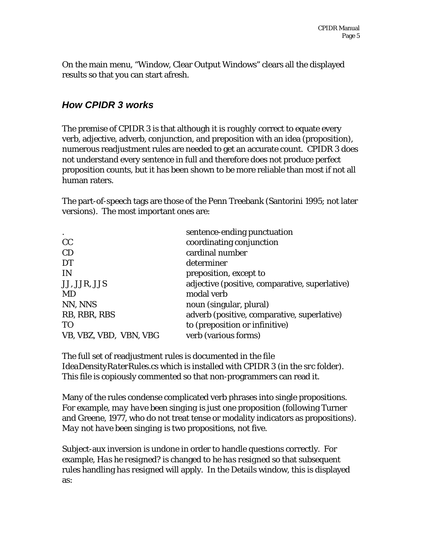On the main menu, "Window, Clear Output Windows" clears all the displayed results so that you can start afresh.

#### *How CPIDR 3 works*

The premise of CPIDR 3 is that although it is *roughly* correct to equate every verb, adjective, adverb, conjunction, and preposition with an idea (proposition), numerous readjustment rules are needed to get an accurate count. CPIDR 3 does not understand every sentence in full and therefore does not produce perfect proposition counts, but it has been shown to be more reliable than most if not all human raters.

The part-of-speech tags are those of the Penn Treebank (Santorini 1995; not later versions). The most important ones are:

| $\bullet$              | sentence-ending punctuation                    |
|------------------------|------------------------------------------------|
| cc                     | coordinating conjunction                       |
| CD                     | cardinal number                                |
| <b>DT</b>              | determiner                                     |
| <b>IN</b>              | preposition, except to                         |
| JJ, JJR, JJS           | adjective (positive, comparative, superlative) |
| <b>MD</b>              | modal verb                                     |
| NN, NNS                | noun (singular, plural)                        |
| RB, RBR, RBS           | adverb (positive, comparative, superlative)    |
| T <sub>O</sub>         | to (preposition or infinitive)                 |
| VB, VBZ, VBD, VBN, VBG | verb (various forms)                           |
|                        |                                                |

The full set of readjustment rules is documented in the file *IdeaDensityRaterRules.cs* which is installed with CPIDR 3 (in the *src* folder). This file is copiously commented so that non-programmers can read it.

Many of the rules condense complicated verb phrases into single propositions. For example, *may have been singing* is just one proposition (following Turner and Greene, 1977, who do not treat tense or modality indicators as propositions). *May not have been singing* is two propositions, not five.

Subject-aux inversion is undone in order to handle questions correctly. For example, *Has he resigned?* is changed to *he has resigned* so that subsequent rules handling *has resigned* will apply. In the Details window, this is displayed as: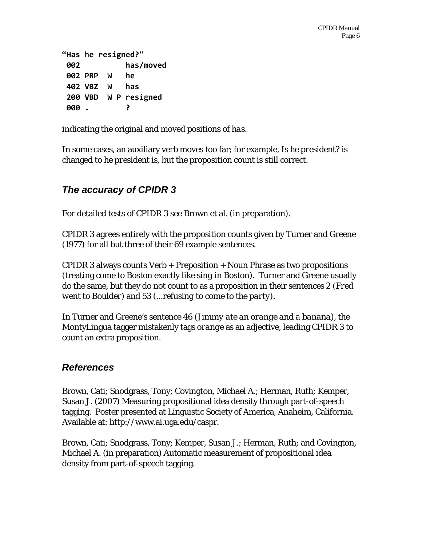**"Has he resigned?" has/moved PRP W he VBZ W has VBD W P resigned . ?**

indicating the original and moved positions of *has*.

In some cases, an auxiliary verb moves too far; for example, *Is he president?* is changed to *he president is*, but the proposition count is still correct.

## *The accuracy of CPIDR 3*

For detailed tests of CPIDR 3 see Brown et al. (in preparation).

CPIDR 3 agrees entirely with the proposition counts given by Turner and Greene (1977) for all but three of their 69 example sentences.

CPIDR 3 always counts Verb + Preposition + Noun Phrase as two propositions (treating *come to Boston* exactly like *sing in Boston*). Turner and Greene usually do the same, but they do not count *to* as a proposition in their sentences 2 (*Fred went to Boulder*) and 53 (*...refusing to come to the party*).

In Turner and Greene's sentence 46 (*Jimmy ate an orange and a banana*), the MontyLingua tagger mistakenly tags *orange* as an adjective, leading CPIDR 3 to count an extra proposition.

## *References*

Brown, Cati; Snodgrass, Tony; Covington, Michael A.; Herman, Ruth; Kemper, Susan J. (2007) Measuring propositional idea density through part-of-speech tagging. Poster presented at Linguistic Society of America, Anaheim, California. Available at: http://www.ai.uga.edu/caspr.

Brown, Cati; Snodgrass, Tony; Kemper, Susan J.; Herman, Ruth; and Covington, Michael A. (in preparation) Automatic measurement of propositional idea density from part-of-speech tagging.